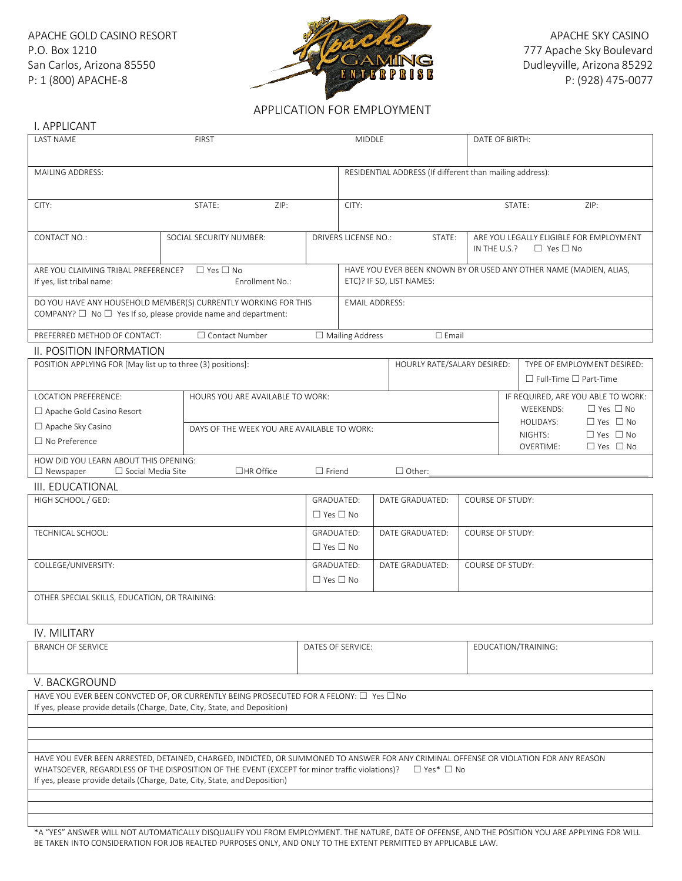

## APPLICATION FOR EMPLOYMENT

| I. APPLICANT                                                               |                                                                                                                                                                     |                                                          |                                                                                                                          |  |                       |                         |                     |                                   |                                              |  |
|----------------------------------------------------------------------------|---------------------------------------------------------------------------------------------------------------------------------------------------------------------|----------------------------------------------------------|--------------------------------------------------------------------------------------------------------------------------|--|-----------------------|-------------------------|---------------------|-----------------------------------|----------------------------------------------|--|
| <b>LAST NAME</b><br><b>FIRST</b>                                           |                                                                                                                                                                     |                                                          | MIDDLE                                                                                                                   |  |                       |                         | DATE OF BIRTH:      |                                   |                                              |  |
|                                                                            |                                                                                                                                                                     |                                                          |                                                                                                                          |  |                       |                         |                     |                                   |                                              |  |
| MAILING ADDRESS:                                                           |                                                                                                                                                                     | RESIDENTIAL ADDRESS (If different than mailing address): |                                                                                                                          |  |                       |                         |                     |                                   |                                              |  |
|                                                                            |                                                                                                                                                                     |                                                          |                                                                                                                          |  |                       |                         |                     |                                   |                                              |  |
| CITY:                                                                      | STATE:<br>ZIP:                                                                                                                                                      |                                                          | CITY:                                                                                                                    |  |                       | STATE:<br>ZIP:          |                     |                                   |                                              |  |
|                                                                            |                                                                                                                                                                     |                                                          |                                                                                                                          |  |                       |                         |                     |                                   |                                              |  |
| <b>CONTACT NO.:</b>                                                        | SOCIAL SECURITY NUMBER:                                                                                                                                             |                                                          | ARE YOU LEGALLY ELIGIBLE FOR EMPLOYMENT<br><b>DRIVERS LICENSE NO.:</b><br>STATE:<br>$\Box$ Yes $\Box$ No<br>IN THE U.S.? |  |                       |                         |                     |                                   |                                              |  |
|                                                                            |                                                                                                                                                                     |                                                          |                                                                                                                          |  |                       |                         |                     |                                   |                                              |  |
| ARE YOU CLAIMING TRIBAL PREFERENCE?<br>If yes, list tribal name:           | $\Box$ Yes $\Box$ No<br>Enrollment No.:                                                                                                                             |                                                          | HAVE YOU EVER BEEN KNOWN BY OR USED ANY OTHER NAME (MADIEN, ALIAS,<br>ETC)? IF SO, LIST NAMES:                           |  |                       |                         |                     |                                   |                                              |  |
|                                                                            | DO YOU HAVE ANY HOUSEHOLD MEMBER(S) CURRENTLY WORKING FOR THIS                                                                                                      |                                                          | <b>EMAIL ADDRESS:</b>                                                                                                    |  |                       |                         |                     |                                   |                                              |  |
| COMPANY? $\Box$ No $\Box$ Yes If so, please provide name and department:   |                                                                                                                                                                     |                                                          |                                                                                                                          |  |                       |                         |                     |                                   |                                              |  |
| PREFERRED METHOD OF CONTACT:                                               | □ Contact Number                                                                                                                                                    |                                                          | $\Box$ Mailing Address                                                                                                   |  | $\square$ Email       |                         |                     |                                   |                                              |  |
| II. POSITION INFORMATION                                                   |                                                                                                                                                                     |                                                          |                                                                                                                          |  |                       |                         |                     |                                   |                                              |  |
| POSITION APPLYING FOR [May list up to three (3) positions]:                |                                                                                                                                                                     |                                                          | HOURLY RATE/SALARY DESIRED:                                                                                              |  |                       |                         |                     | TYPE OF EMPLOYMENT DESIRED:       |                                              |  |
|                                                                            |                                                                                                                                                                     |                                                          |                                                                                                                          |  |                       |                         |                     | $\Box$ Full-Time $\Box$ Part-Time |                                              |  |
| <b>LOCATION PREFERENCE:</b>                                                | HOURS YOU ARF AVAILABLE TO WORK:                                                                                                                                    |                                                          |                                                                                                                          |  |                       |                         |                     |                                   | IF REQUIRED, ARE YOU ABLE TO WORK:           |  |
| $\Box$ Apache Gold Casino Resort                                           |                                                                                                                                                                     |                                                          |                                                                                                                          |  |                       |                         |                     | <b>WEEKENDS:</b><br>HOLIDAYS:     | $\Box$ Yes $\Box$ No<br>$\Box$ Yes $\Box$ No |  |
| □ Apache Sky Casino                                                        | DAYS OF THE WEEK YOU ARE AVAILABLE TO WORK:                                                                                                                         |                                                          |                                                                                                                          |  |                       |                         |                     | NIGHTS:                           | $\Box$ Yes $\Box$ No                         |  |
| $\Box$ No Preference                                                       |                                                                                                                                                                     |                                                          |                                                                                                                          |  |                       |                         |                     | <b>OVERTIME:</b>                  | $\Box$ Yes $\Box$ No                         |  |
| HOW DID YOU LEARN ABOUT THIS OPENING:                                      |                                                                                                                                                                     |                                                          |                                                                                                                          |  |                       |                         |                     |                                   |                                              |  |
| $\Box$ Newspaper<br>$\Box$ Social Media Site                               | $\Box$ HR Office                                                                                                                                                    | $\Box$ Friend                                            |                                                                                                                          |  | $\Box$ Other:         |                         |                     |                                   |                                              |  |
| III. EDUCATIONAL<br>HIGH SCHOOL / GED:                                     |                                                                                                                                                                     | GRADUATED:                                               |                                                                                                                          |  | DATE GRADUATED:       | <b>COURSE OF STUDY:</b> |                     |                                   |                                              |  |
|                                                                            |                                                                                                                                                                     | $\Box$ Yes $\Box$ No                                     |                                                                                                                          |  |                       |                         |                     |                                   |                                              |  |
| TECHNICAL SCHOOL:                                                          |                                                                                                                                                                     | <b>GRADUATED:</b>                                        |                                                                                                                          |  | DATE GRADUATED:       | <b>COURSE OF STUDY:</b> |                     |                                   |                                              |  |
|                                                                            |                                                                                                                                                                     | $\Box$ Yes $\Box$ No                                     |                                                                                                                          |  |                       |                         |                     |                                   |                                              |  |
| COLLEGE/UNIVERSITY:                                                        |                                                                                                                                                                     | GRADUATED:                                               |                                                                                                                          |  | DATE GRADUATED:       | COURSE OF STUDY:        |                     |                                   |                                              |  |
|                                                                            |                                                                                                                                                                     | $\Box$ Yes $\Box$ No                                     |                                                                                                                          |  |                       |                         |                     |                                   |                                              |  |
| OTHER SPECIAL SKILLS, EDUCATION, OR TRAINING:                              |                                                                                                                                                                     |                                                          |                                                                                                                          |  |                       |                         |                     |                                   |                                              |  |
|                                                                            |                                                                                                                                                                     |                                                          |                                                                                                                          |  |                       |                         |                     |                                   |                                              |  |
|                                                                            |                                                                                                                                                                     |                                                          |                                                                                                                          |  |                       |                         |                     |                                   |                                              |  |
| IV. MILITARY                                                               |                                                                                                                                                                     |                                                          | DATES OF SERVICE:                                                                                                        |  |                       |                         | EDUCATION/TRAINING: |                                   |                                              |  |
| <b>BRANCH OF SERVICE</b>                                                   |                                                                                                                                                                     |                                                          |                                                                                                                          |  |                       |                         |                     |                                   |                                              |  |
|                                                                            |                                                                                                                                                                     |                                                          |                                                                                                                          |  |                       |                         |                     |                                   |                                              |  |
| V. BACKGROUND                                                              |                                                                                                                                                                     |                                                          |                                                                                                                          |  |                       |                         |                     |                                   |                                              |  |
|                                                                            | HAVE YOU EVER BEEN CONVCTED OF, OR CURRENTLY BEING PROSECUTED FOR A FELONY: □ Yes □No<br>If yes, please provide details (Charge, Date, City, State, and Deposition) |                                                          |                                                                                                                          |  |                       |                         |                     |                                   |                                              |  |
|                                                                            |                                                                                                                                                                     |                                                          |                                                                                                                          |  |                       |                         |                     |                                   |                                              |  |
|                                                                            |                                                                                                                                                                     |                                                          |                                                                                                                          |  |                       |                         |                     |                                   |                                              |  |
|                                                                            | HAVE YOU EVER BEEN ARRESTED, DETAINED, CHARGED, INDICTED, OR SUMMONED TO ANSWER FOR ANY CRIMINAL OFFENSE OR VIOLATION FOR ANY REASON                                |                                                          |                                                                                                                          |  |                       |                         |                     |                                   |                                              |  |
|                                                                            | WHATSOEVER, REGARDLESS OF THE DISPOSITION OF THE EVENT (EXCEPT for minor traffic violations)?                                                                       |                                                          |                                                                                                                          |  | $\Box$ Yes* $\Box$ No |                         |                     |                                   |                                              |  |
| If yes, please provide details (Charge, Date, City, State, and Deposition) |                                                                                                                                                                     |                                                          |                                                                                                                          |  |                       |                         |                     |                                   |                                              |  |
|                                                                            |                                                                                                                                                                     |                                                          |                                                                                                                          |  |                       |                         |                     |                                   |                                              |  |
|                                                                            |                                                                                                                                                                     |                                                          |                                                                                                                          |  |                       |                         |                     |                                   |                                              |  |
|                                                                            |                                                                                                                                                                     |                                                          |                                                                                                                          |  |                       |                         |                     |                                   |                                              |  |

\*A "YES" ANSWER WILL NOT AUTOMATICALLY DISQUALIFY YOU FROM EMPLOYMENT. THE NATURE, DATE OF OFFENSE, AND THE POSITION YOU ARE APPLYING FOR WILL BE TAKEN INTO CONSIDERATION FOR JOB REALTED PURPOSES ONLY, AND ONLY TO THE EXTENT PERMITTED BY APPLICABLE LAW.